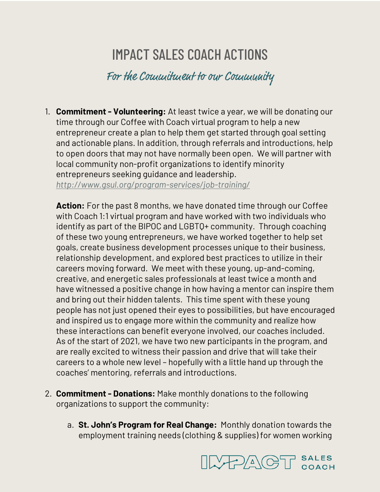## IMPACT SALES COACH ACTIONS

For the Commitment to our Community

1. **Commitment - Volunteering:** At least twice a year, we will be donating our time through our Coffee with Coach virtual program to help a new entrepreneur create a plan to help them get started through goal setting and actionable plans. In addition, through referrals and introductions, help to open doors that may not have normally been open. We will partner with local community non-profit organizations to identify minority entrepreneurs seeking guidance and leadership. *http://www.gsul.org/program-services/job-training/*

**Action:** For the past 8 months, we have donated time through our Coffee with Coach 1:1 virtual program and have worked with two individuals who identify as part of the BIPOC and LGBTQ+ community. Through coaching of these two young entrepreneurs, we have worked together to help set goals, create business development processes unique to their business, relationship development, and explored best practices to utilize in their careers moving forward. We meet with these young, up-and-coming, creative, and energetic sales professionals at least twice a month and have witnessed a positive change in how having a mentor can inspire them and bring out their hidden talents. This time spent with these young people has not just opened their eyes to possibilities, but have encouraged and inspired us to engage more within the community and realize how these interactions can benefit everyone involved, our coaches included. As of the start of 2021, we have two new participants in the program, and are really excited to witness their passion and drive that will take their careers to a whole new level – hopefully with a little hand up through the coaches' mentoring, referrals and introductions.

- 2. **Commitment - Donations:** Make monthly donations to the following organizations to support the community:
	- a. **St. John's Program for Real Change:** Monthly donation towards the employment training needs (clothing & supplies) for women working

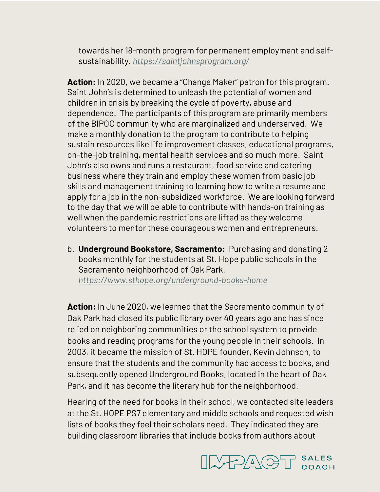towards her 18-month program for permanent employment and selfsustainability. *https://saintjohnsprogram.org/*

**Action:** In 2020, we became a "Change Maker" patron for this program. Saint John's is determined to unleash the potential of women and children in crisis by breaking the cycle of poverty, abuse and dependence. The participants of this program are primarily members of the BIPOC community who are marginalized and underserved. We make a monthly donation to the program to contribute to helping sustain resources like life improvement classes, educational programs, on-the-job training, mental health services and so much more. Saint John's also owns and runs a restaurant, food service and catering business where they train and employ these women from basic job skills and management training to learning how to write a resume and apply for a job in the non-subsidized workforce. We are looking forward to the day that we will be able to contribute with hands-on training as well when the pandemic restrictions are lifted as they welcome volunteers to mentor these courageous women and entrepreneurs.

b. **Underground Bookstore, Sacramento:** Purchasing and donating 2 books monthly for the students at St. Hope public schools in the Sacramento neighborhood of Oak Park. *https://www.sthope.org/underground-books-home*

**Action:** In June 2020, we learned that the Sacramento community of Oak Park had closed its public library over 40 years ago and has since relied on neighboring communities or the school system to provide books and reading programs for the young people in their schools. In 2003, it became the mission of St. HOPE founder, Kevin Johnson, to ensure that the students and the community had access to books, and subsequently opened Underground Books, located in the heart of Oak Park, and it has become the literary hub for the neighborhood.

Hearing of the need for books in their school, we contacted site leaders at the St. HOPE PS7 elementary and middle schools and requested wish lists of books they feel their scholars need. They indicated they are building classroom libraries that include books from authors about